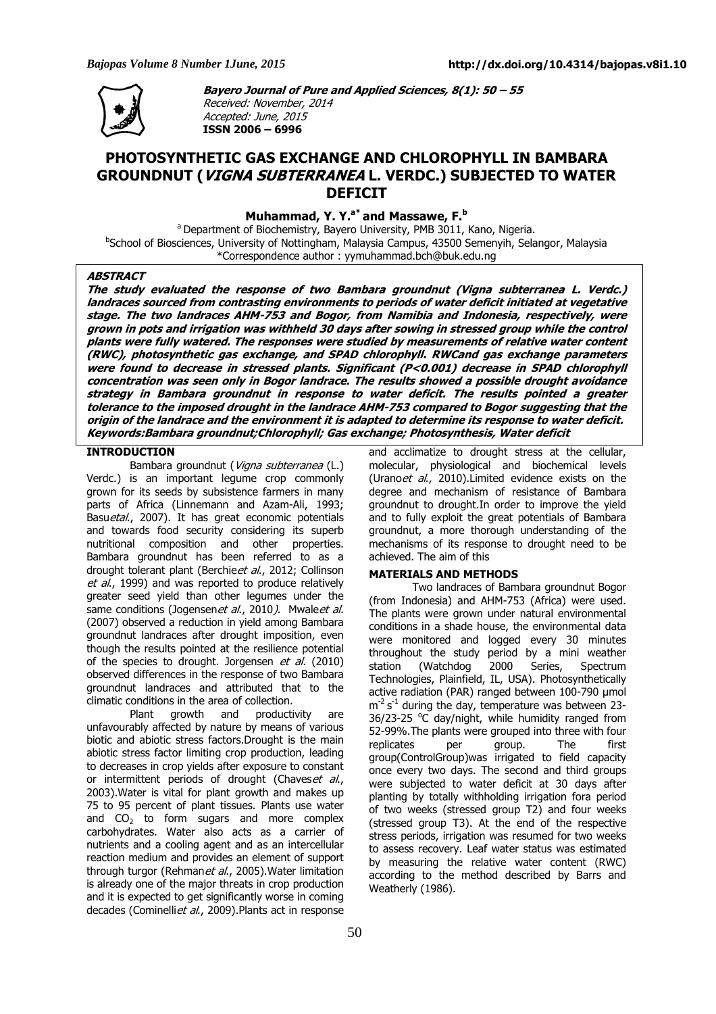

**Bayero Journal of Pure and Applied Sciences, 8(1): 50 – 55**  Received: November, 2014 Accepted: June, 2015 **ISSN 2006 – 6996** 

# **PHOTOSYNTHETIC GAS EXCHANGE AND CHLOROPHYLL IN BAMBARA GROUNDNUT (VIGNA SUBTERRANEA L. VERDC.) SUBJECTED TO WATER DEFICIT**

**Muhammad, Y. Y.a\* and Massawe, F.<sup>b</sup>**

<sup>a</sup> Department of Biochemistry, Bayero University, PMB 3011, Kano, Nigeria. <sup>b</sup>School of Biosciences, University of Nottingham, Malaysia Campus, 43500 Semenyih, Selangor, Malaysia \*Correspondence author : yymuhammad.bch@buk.edu.ng

### **ABSTRACT**

**The study evaluated the response of two Bambara groundnut (Vigna subterranea L. Verdc.) landraces sourced from contrasting environments to periods of water deficit initiated at vegetative stage. The two landraces AHM-753 and Bogor, from Namibia and Indonesia, respectively, were grown in pots and irrigation was withheld 30 days after sowing in stressed group while the control plants were fully watered. The responses were studied by measurements of relative water content (RWC), photosynthetic gas exchange, and SPAD chlorophyll. RWCand gas exchange parameters were found to decrease in stressed plants. Significant (P<0.001) decrease in SPAD chlorophyll concentration was seen only in Bogor landrace. The results showed a possible drought avoidance strategy in Bambara groundnut in response to water deficit. The results pointed a greater tolerance to the imposed drought in the landrace AHM-753 compared to Bogor suggesting that the origin of the landrace and the environment it is adapted to determine its response to water deficit. Keywords:Bambara groundnut;Chlorophyll; Gas exchange; Photosynthesis, Water deficit** 

## **INTRODUCTION**

Bambara groundnut (Vigna subterranea (L.) Verdc.) is an important legume crop commonly grown for its seeds by subsistence farmers in many parts of Africa (Linnemann and Azam-Ali, 1993; Basuetal., 2007). It has great economic potentials and towards food security considering its superb nutritional composition and other properties. Bambara groundnut has been referred to as a drought tolerant plant (Berchieet al., 2012; Collinson et al., 1999) and was reported to produce relatively greater seed yield than other legumes under the same conditions (Jogensenet al., 2010). Mwaleet al. (2007) observed a reduction in yield among Bambara groundnut landraces after drought imposition, even though the results pointed at the resilience potential of the species to drought. Jorgensen et al. (2010) observed differences in the response of two Bambara groundnut landraces and attributed that to the climatic conditions in the area of collection.

Plant growth and productivity are unfavourably affected by nature by means of various biotic and abiotic stress factors.Drought is the main abiotic stress factor limiting crop production, leading to decreases in crop yields after exposure to constant or intermittent periods of drought (Chaveset al., 2003).Water is vital for plant growth and makes up 75 to 95 percent of plant tissues. Plants use water and  $CO<sub>2</sub>$  to form sugars and more complex carbohydrates. Water also acts as a carrier of nutrients and a cooling agent and as an intercellular reaction medium and provides an element of support through turgor (Rehmanet al., 2005). Water limitation is already one of the major threats in crop production and it is expected to get significantly worse in coming decades (Cominelliet al., 2009).Plants act in response

and acclimatize to drought stress at the cellular, molecular, physiological and biochemical levels (Uranoet al., 2010).Limited evidence exists on the degree and mechanism of resistance of Bambara groundnut to drought.In order to improve the yield and to fully exploit the great potentials of Bambara groundnut, a more thorough understanding of the mechanisms of its response to drought need to be achieved. The aim of this

### **MATERIALS AND METHODS**

Two landraces of Bambara groundnut Bogor (from Indonesia) and AHM-753 (Africa) were used. The plants were grown under natural environmental conditions in a shade house, the environmental data were monitored and logged every 30 minutes throughout the study period by a mini weather station (Watchdog 2000 Series, Spectrum Technologies, Plainfield, IL, USA). Photosynthetically active radiation (PAR) ranged between 100-790 µmol  $m<sup>-2</sup>$  s<sup>-1</sup> during the day, temperature was between 23-36/23-25  $\degree$ C day/night, while humidity ranged from 52-99%.The plants were grouped into three with four replicates per group. The first group(ControlGroup)was irrigated to field capacity once every two days. The second and third groups were subjected to water deficit at 30 days after planting by totally withholding irrigation fora period of two weeks (stressed group T2) and four weeks (stressed group T3). At the end of the respective stress periods, irrigation was resumed for two weeks to assess recovery. Leaf water status was estimated by measuring the relative water content (RWC) according to the method described by Barrs and Weatherly (1986).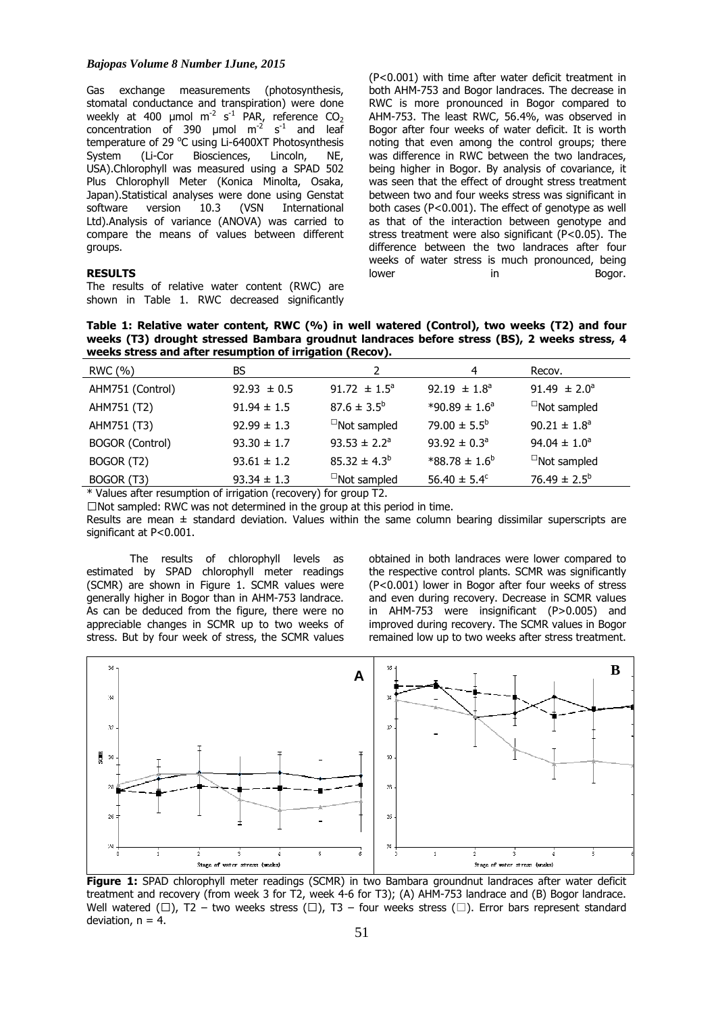#### *Bajopas Volume 8 Number 1June, 2015*

Gas exchange measurements (photosynthesis, stomatal conductance and transpiration) were done weekly at 400 µmol  $m^{-2}$  s<sup>-1</sup> PAR, reference CO<sub>2</sub> concentration of 390  $\mu$ mol m<sup>-2</sup> s<sup>-1</sup> and leaf temperature of 29  $^{\circ}$ C using Li-6400XT Photosynthesis System (Li-Cor Biosciences, Lincoln, NE, USA).Chlorophyll was measured using a SPAD 502 Plus Chlorophyll Meter (Konica Minolta, Osaka, Japan).Statistical analyses were done using Genstat software version 10.3 (VSN International Ltd).Analysis of variance (ANOVA) was carried to compare the means of values between different groups.

## **RESULTS**

The results of relative water content (RWC) are shown in Table 1. RWC decreased significantly

(P<0.001) with time after water deficit treatment in both AHM-753 and Bogor landraces. The decrease in RWC is more pronounced in Bogor compared to AHM-753. The least RWC, 56.4%, was observed in Bogor after four weeks of water deficit. It is worth noting that even among the control groups; there was difference in RWC between the two landraces, being higher in Bogor. By analysis of covariance, it was seen that the effect of drought stress treatment between two and four weeks stress was significant in both cases ( $P < 0.001$ ). The effect of genotype as well as that of the interaction between genotype and stress treatment were also significant (P<0.05). The difference between the two landraces after four weeks of water stress is much pronounced, being lower in in Bogor.

**Table 1: Relative water content, RWC (%) in well watered (Control), two weeks (T2) and four weeks (T3) drought stressed Bambara groudnut landraces before stress (BS), 2 weeks stress, 4 weeks stress and after resumption of irrigation (Recov).** 

| RWC (%)                | BS.             |                              | 4                            | Recov.                  |
|------------------------|-----------------|------------------------------|------------------------------|-------------------------|
| AHM751 (Control)       | $92.93 \pm 0.5$ | 91.72 $\pm$ 1.5 <sup>a</sup> | 92.19 $\pm 1.8^a$            | 91.49 $\pm 2.0^{\circ}$ |
| AHM751 (T2)            | $91.94 \pm 1.5$ | $87.6 \pm 3.5^{\circ}$       | $*90.89 \pm 1.6^{\circ}$     | $\Box$ Not sampled      |
| AHM751 (T3)            | $92.99 \pm 1.3$ | $\Box$ Not sampled           | 79.00 $\pm$ 5.5 <sup>b</sup> | $90.21 \pm 1.8^a$       |
| <b>BOGOR (Control)</b> | $93.30 \pm 1.7$ | $93.53 \pm 2.2^a$            | $93.92 \pm 0.3^{\circ}$      | $94.04 \pm 1.0^a$       |
| BOGOR (T2)             | $93.61 \pm 1.2$ | $85.32 \pm 4.3^b$            | $*88.78 \pm 1.6^b$           | $\Box$ Not sampled      |
| BOGOR (T3)             | $93.34 \pm 1.3$ | $\Box$ Not sampled           | 56.40 $\pm$ 5.4 <sup>c</sup> | 76.49 $\pm 2.5^{\circ}$ |

\* Values after resumption of irrigation (recovery) for group T2.

 $\Box$ Not sampled: RWC was not determined in the group at this period in time.

Results are mean  $\pm$  standard deviation. Values within the same column bearing dissimilar superscripts are significant at P<0.001.

The results of chlorophyll levels as estimated by SPAD chlorophyll meter readings (SCMR) are shown in Figure 1. SCMR values were generally higher in Bogor than in AHM-753 landrace. As can be deduced from the figure, there were no appreciable changes in SCMR up to two weeks of stress. But by four week of stress, the SCMR values obtained in both landraces were lower compared to the respective control plants. SCMR was significantly (P<0.001) lower in Bogor after four weeks of stress and even during recovery. Decrease in SCMR values in AHM-753 were insignificant (P>0.005) and improved during recovery. The SCMR values in Bogor remained low up to two weeks after stress treatment.



**Figure 1:** SPAD chlorophyll meter readings (SCMR) in two Bambara groundnut landraces after water deficit treatment and recovery (from week 3 for T2, week 4-6 for T3); (A) AHM-753 landrace and (B) Bogor landrace. Well watered ( $\Box$ ), T2 – two weeks stress ( $\Box$ ), T3 – four weeks stress ( $\Box$ ). Error bars represent standard deviation,  $n = 4$ .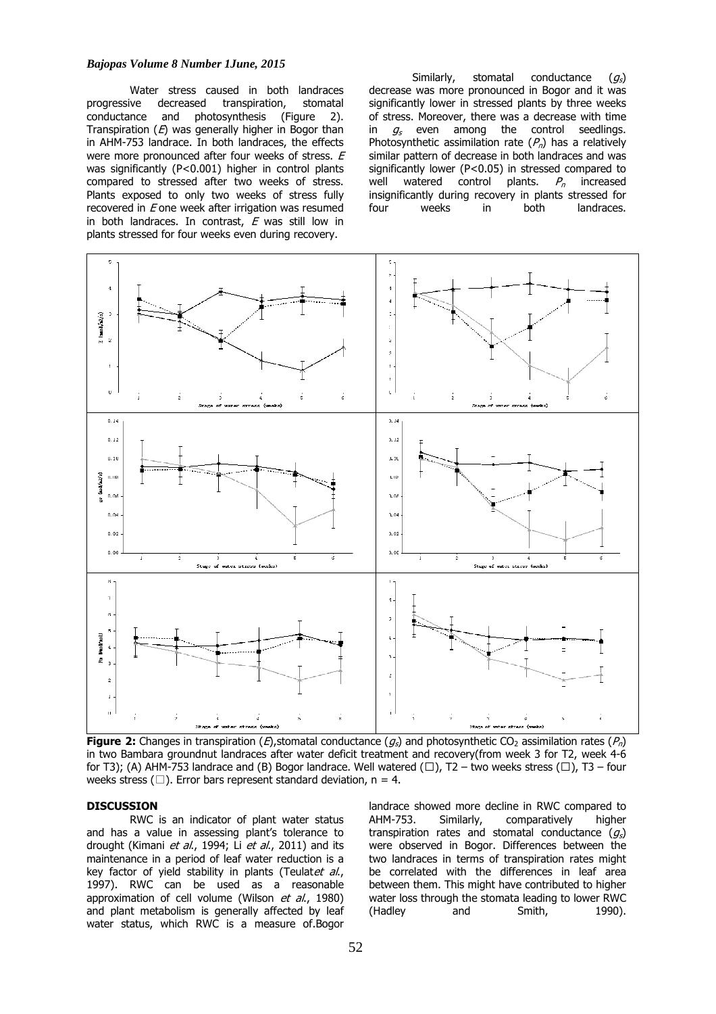#### *Bajopas Volume 8 Number 1June, 2015*

Water stress caused in both landraces<br>ive decreased transpiration. stomatal progressive decreased transpiration, conductance and photosynthesis (Figure 2). Transpiration  $(E)$  was generally higher in Bogor than in AHM-753 landrace. In both landraces, the effects were more pronounced after four weeks of stress. E was significantly (P<0.001) higher in control plants compared to stressed after two weeks of stress. Plants exposed to only two weeks of stress fully recovered in  $E$  one week after irrigation was resumed in both landraces. In contrast,  $E$  was still low in plants stressed for four weeks even during recovery.

Similarly, stomatal conductance  $(q_s)$ decrease was more pronounced in Bogor and it was significantly lower in stressed plants by three weeks of stress. Moreover, there was a decrease with time in  $g_s$  even among the control seedlings. Photosynthetic assimilation rate  $(P_n)$  has a relatively similar pattern of decrease in both landraces and was significantly lower (P<0.05) in stressed compared to well watered control plants.  $P_n$  increased insignificantly during recovery in plants stressed for four weeks in both landraces.



**Figure 2:** Changes in transpiration (*E*), stomatal conductance ( $g_s$ ) and photosynthetic CO<sub>2</sub> assimilation rates ( $P_n$ ) in two Bambara groundnut landraces after water deficit treatment and recovery(from week 3 for T2, week 4-6 for T3); (A) AHM-753 landrace and (B) Bogor landrace. Well watered ( $\Box$ ), T2 – two weeks stress ( $\Box$ ), T3 – four weeks stress ( $\Box$ ). Error bars represent standard deviation, n = 4.

# **DISCUSSION**

RWC is an indicator of plant water status and has a value in assessing plant's tolerance to drought (Kimani et al., 1994; Li et al., 2011) and its maintenance in a period of leaf water reduction is a key factor of yield stability in plants (Teulat*et al.*, 1997). RWC can be used as a reasonable approximation of cell volume (Wilson et al., 1980) and plant metabolism is generally affected by leaf water status, which RWC is a measure of.Bogor

landrace showed more decline in RWC compared to AHM-753. Similarly, comparatively higher transpiration rates and stomatal conductance  $(q_s)$ were observed in Bogor. Differences between the two landraces in terms of transpiration rates might be correlated with the differences in leaf area between them. This might have contributed to higher water loss through the stomata leading to lower RWC (Hadley and Smith, 1990).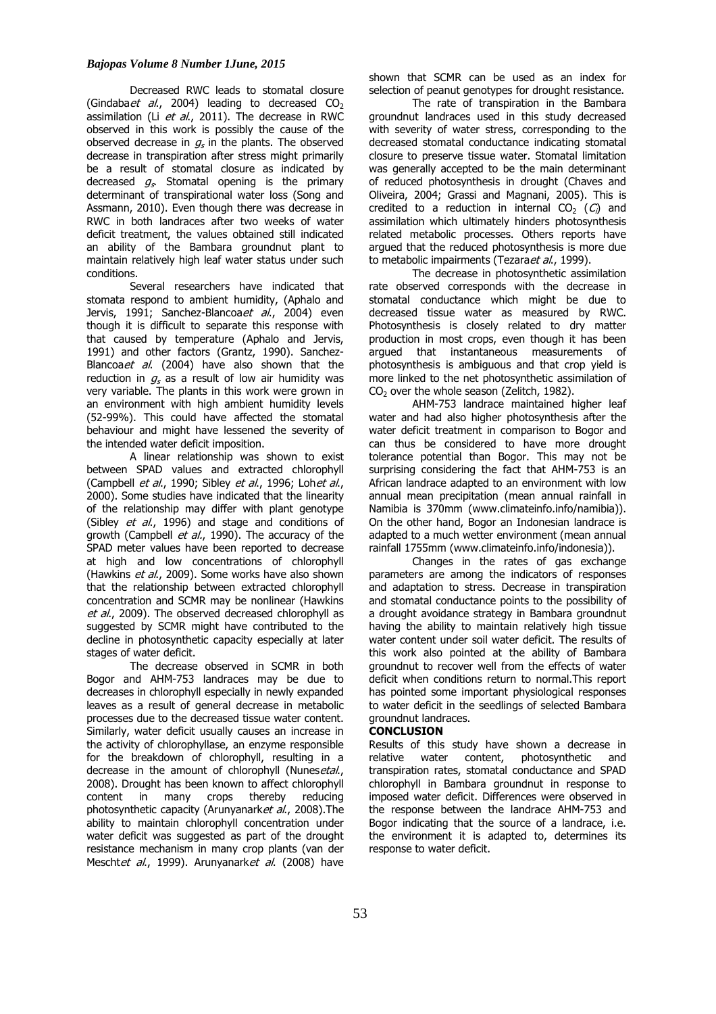#### *Bajopas Volume 8 Number 1June, 2015*

Decreased RWC leads to stomatal closure (Gindaba *et al.*, 2004) leading to decreased  $CO<sub>2</sub>$ assimilation (Li  $et$  al., 2011). The decrease in RWC observed in this work is possibly the cause of the observed decrease in  $g_s$  in the plants. The observed decrease in transpiration after stress might primarily be a result of stomatal closure as indicated by decreased  $g_s$ . Stomatal opening is the primary determinant of transpirational water loss (Song and Assmann, 2010). Even though there was decrease in RWC in both landraces after two weeks of water deficit treatment, the values obtained still indicated an ability of the Bambara groundnut plant to maintain relatively high leaf water status under such conditions.

Several researchers have indicated that stomata respond to ambient humidity, (Aphalo and Jervis, 1991; Sanchez-Blancoaet al., 2004) even though it is difficult to separate this response with that caused by temperature (Aphalo and Jervis, 1991) and other factors (Grantz, 1990). Sanchez-Blancoaet al. (2004) have also shown that the reduction in  $g_s$  as a result of low air humidity was very variable. The plants in this work were grown in an environment with high ambient humidity levels (52-99%). This could have affected the stomatal behaviour and might have lessened the severity of the intended water deficit imposition.

A linear relationship was shown to exist between SPAD values and extracted chlorophyll (Campbell *et al.*, 1990; Sibley *et al.*, 1996; Lohet al., 2000). Some studies have indicated that the linearity of the relationship may differ with plant genotype (Sibley *et al.*, 1996) and stage and conditions of growth (Campbell  $et$  al., 1990). The accuracy of the SPAD meter values have been reported to decrease at high and low concentrations of chlorophyll (Hawkins et al., 2009). Some works have also shown that the relationship between extracted chlorophyll concentration and SCMR may be nonlinear (Hawkins et al., 2009). The observed decreased chlorophyll as suggested by SCMR might have contributed to the decline in photosynthetic capacity especially at later stages of water deficit.

The decrease observed in SCMR in both Bogor and AHM-753 landraces may be due to decreases in chlorophyll especially in newly expanded leaves as a result of general decrease in metabolic processes due to the decreased tissue water content. Similarly, water deficit usually causes an increase in the activity of chlorophyllase, an enzyme responsible for the breakdown of chlorophyll, resulting in a decrease in the amount of chlorophyll (Nunesetal., 2008). Drought has been known to affect chlorophyll content in many crops thereby reducing photosynthetic capacity (Arunyanarket al., 2008). The ability to maintain chlorophyll concentration under water deficit was suggested as part of the drought resistance mechanism in many crop plants (van der Meschtet al., 1999). Arunyanarket al. (2008) have

shown that SCMR can be used as an index for selection of peanut genotypes for drought resistance.

The rate of transpiration in the Bambara groundnut landraces used in this study decreased with severity of water stress, corresponding to the decreased stomatal conductance indicating stomatal closure to preserve tissue water. Stomatal limitation was generally accepted to be the main determinant of reduced photosynthesis in drought (Chaves and Oliveira, 2004; Grassi and Magnani, 2005). This is credited to a reduction in internal  $CO<sub>2</sub>$  (C) and assimilation which ultimately hinders photosynthesis related metabolic processes. Others reports have argued that the reduced photosynthesis is more due to metabolic impairments (Tezaraet al., 1999).

The decrease in photosynthetic assimilation rate observed corresponds with the decrease in stomatal conductance which might be due to decreased tissue water as measured by RWC. Photosynthesis is closely related to dry matter production in most crops, even though it has been argued that instantaneous measurements of photosynthesis is ambiguous and that crop yield is more linked to the net photosynthetic assimilation of  $CO<sub>2</sub>$  over the whole season (Zelitch, 1982).

AHM-753 landrace maintained higher leaf water and had also higher photosynthesis after the water deficit treatment in comparison to Bogor and can thus be considered to have more drought tolerance potential than Bogor. This may not be surprising considering the fact that AHM-753 is an African landrace adapted to an environment with low annual mean precipitation (mean annual rainfall in Namibia is 370mm (www.climateinfo.info/namibia)). On the other hand, Bogor an Indonesian landrace is adapted to a much wetter environment (mean annual rainfall 1755mm (www.climateinfo.info/indonesia)).

Changes in the rates of gas exchange parameters are among the indicators of responses and adaptation to stress. Decrease in transpiration and stomatal conductance points to the possibility of a drought avoidance strategy in Bambara groundnut having the ability to maintain relatively high tissue water content under soil water deficit. The results of this work also pointed at the ability of Bambara groundnut to recover well from the effects of water deficit when conditions return to normal.This report has pointed some important physiological responses to water deficit in the seedlings of selected Bambara groundnut landraces.

#### **CONCLUSION**

Results of this study have shown a decrease in<br>relative water content. photosynthetic and relative water content, photosynthetic and transpiration rates, stomatal conductance and SPAD chlorophyll in Bambara groundnut in response to imposed water deficit. Differences were observed in the response between the landrace AHM-753 and Bogor indicating that the source of a landrace, i.e. the environment it is adapted to, determines its response to water deficit.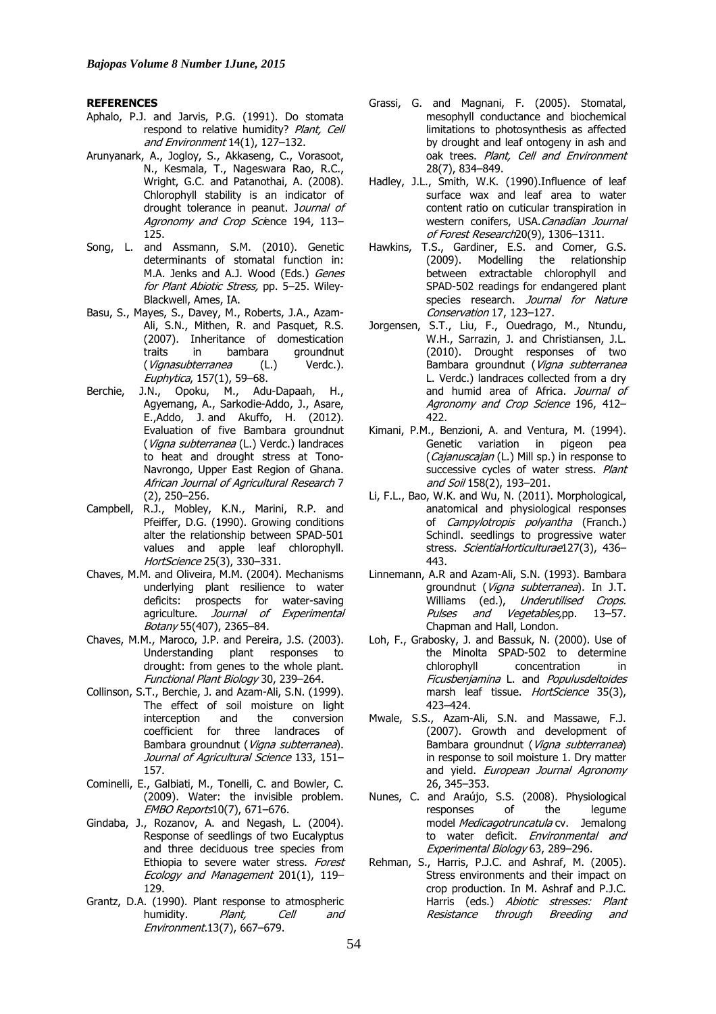#### **REFERENCES**

- Aphalo, P.J. and Jarvis, P.G. (1991). Do stomata respond to relative humidity? Plant, Cell and Environment 14(1), 127–132.
- Arunyanark, A., Jogloy, S., Akkaseng, C., Vorasoot, N., Kesmala, T., Nageswara Rao, R.C., Wright, G.C. and Patanothai, A. (2008). Chlorophyll stability is an indicator of drought tolerance in peanut. Journal of Agronomy and Crop Science 194, 113– 125.
- Song, L. and Assmann, S.M. (2010). Genetic determinants of stomatal function in: M.A. Jenks and A.J. Wood (Eds.) Genes for Plant Abiotic Stress, pp. 5-25. Wiley-Blackwell, Ames, IA.
- Basu, S., Mayes, S., Davey, M., Roberts, J.A., Azam-Ali, S.N., Mithen, R. and Pasquet, R.S. (2007). Inheritance of domestication<br>traits in bambara groundnut traits in bambara groundnut (Vignasubterranea (L.) Verdc.). Euphytica, 157(1), 59–68.
- Berchie, J.N., Opoku, M., Adu-Dapaah, H., Agyemang, A., Sarkodie-Addo, J., Asare, E.,Addo, J. and Akuffo, H. (2012). Evaluation of five Bambara groundnut (Vigna subterranea (L.) Verdc.) landraces to heat and drought stress at Tono-Navrongo, Upper East Region of Ghana. African Journal of Agricultural Research 7 (2), 250–256.
- Campbell, R.J., Mobley, K.N., Marini, R.P. and Pfeiffer, D.G. (1990). Growing conditions alter the relationship between SPAD-501 values and apple leaf chlorophyll. HortScience 25(3), 330–331.
- Chaves, M.M. and Oliveira, M.M. (2004). Mechanisms underlying plant resilience to water deficits: prospects for water-saving agriculture. Journal of Experimental Botany 55(407), 2365–84.
- Chaves, M.M., Maroco, J.P. and Pereira, J.S. (2003). Understanding plant responses to drought: from genes to the whole plant. Functional Plant Biology 30, 239–264.
- Collinson, S.T., Berchie, J. and Azam-Ali, S.N. (1999). The effect of soil moisture on light<br>interception and the conversion interception and the conversion coefficient for three landraces of Bambara groundnut (Vigna subterranea). Journal of Agricultural Science 133, 151– 157.
- Cominelli, E., Galbiati, M., Tonelli, C. and Bowler, C. (2009). Water: the invisible problem. EMBO Reports10(7), 671–676.
- Gindaba, J., Rozanov, A. and Negash, L. (2004). Response of seedlings of two Eucalyptus and three deciduous tree species from Ethiopia to severe water stress. Forest Ecology and Management 201(1), 119– 129.
- Grantz, D.A. (1990). Plant response to atmospheric humidity. *Plant, Cell and* Environment.13(7), 667–679.
- Grassi, G. and Magnani, F. (2005). Stomatal, mesophyll conductance and biochemical limitations to photosynthesis as affected by drought and leaf ontogeny in ash and oak trees. Plant, Cell and Environment 28(7), 834–849.
- Hadley, J.L., Smith, W.K. (1990).Influence of leaf surface wax and leaf area to water content ratio on cuticular transpiration in western conifers, USA.Canadian Journal of Forest Research20(9), 1306–1311.
- Hawkins, T.S., Gardiner, E.S. and Comer, G.S. (2009). Modelling the relationship between extractable chlorophyll and SPAD-502 readings for endangered plant species research. Journal for Nature Conservation 17, 123–127.
- Jorgensen, S.T., Liu, F., Ouedrago, M., Ntundu, W.H., Sarrazin, J. and Christiansen, J.L. (2010). Drought responses of two Bambara groundnut (Vigna subterranea L. Verdc.) landraces collected from a dry and humid area of Africa. Journal of Agronomy and Crop Science 196, 412– 422.
- Kimani, P.M., Benzioni, A. and Ventura, M. (1994). Genetic variation in pigeon pea (Cajanuscajan (L.) Mill sp.) in response to successive cycles of water stress. Plant and Soil 158(2), 193-201.
- Li, F.L., Bao, W.K. and Wu, N. (2011). Morphological, anatomical and physiological responses of *Campylotropis polyantha* (Franch.) Schindl. seedlings to progressive water stress. ScientiaHorticulturae127(3), 436-443.
- Linnemann, A.R and Azam-Ali, S.N. (1993). Bambara groundnut (Vigna subterranea). In J.T. Williams (ed.), Underutilised Crops. Pulses and Vegetables,pp. 13–57. Chapman and Hall, London.
- Loh, F., Grabosky, J. and Bassuk, N. (2000). Use of the Minolta SPAD-502 to determine chlorophyll concentration in Ficusbenjamina L. and Populusdeltoides marsh leaf tissue. HortScience 35(3), 423–424.
- Mwale, S.S., Azam-Ali, S.N. and Massawe, F.J. (2007). Growth and development of Bambara groundnut (Vigna subterranea) in response to soil moisture 1. Dry matter and yield. European Journal Agronomy 26, 345–353.
- Nunes, C. and Araújo, S.S. (2008). Physiological responses of the legume model Medicagotruncatula cv. Jemalong to water deficit. Environmental and Experimental Biology 63, 289–296.
- Rehman, S., Harris, P.J.C. and Ashraf, M. (2005). Stress environments and their impact on crop production. In M. Ashraf and P.J.C. Harris (eds.) Abiotic stresses: Plant Resistance through Breeding and